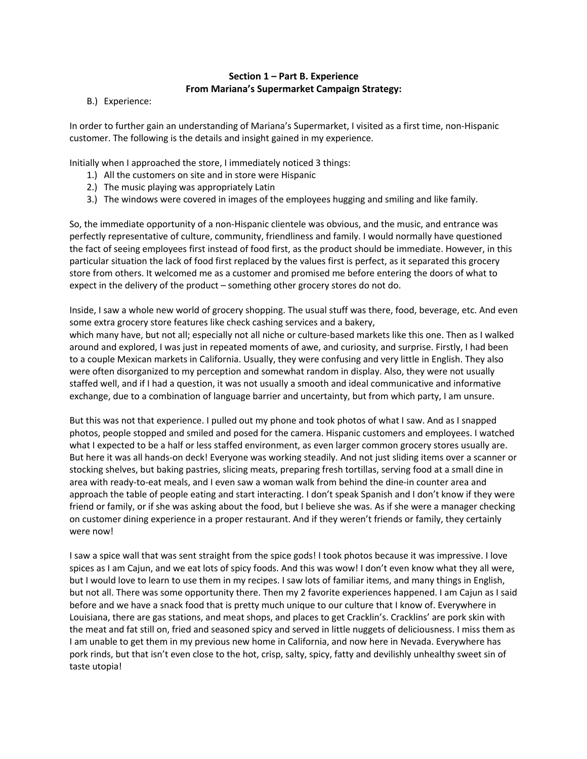## **Section 1 – Part B. Experience From Mariana's Supermarket Campaign Strategy:**

B.) Experience:

In order to further gain an understanding of Mariana's Supermarket, I visited as a first time, non-Hispanic customer. The following is the details and insight gained in my experience.

Initially when I approached the store, I immediately noticed 3 things:

- 1.) All the customers on site and in store were Hispanic
- 2.) The music playing was appropriately Latin
- 3.) The windows were covered in images of the employees hugging and smiling and like family.

So, the immediate opportunity of a non-Hispanic clientele was obvious, and the music, and entrance was perfectly representative of culture, community, friendliness and family. I would normally have questioned the fact of seeing employees first instead of food first, as the product should be immediate. However, in this particular situation the lack of food first replaced by the values first is perfect, as it separated this grocery store from others. It welcomed me as a customer and promised me before entering the doors of what to expect in the delivery of the product – something other grocery stores do not do.

Inside, I saw a whole new world of grocery shopping. The usual stuff was there, food, beverage, etc. And even some extra grocery store features like check cashing services and a bakery,

which many have, but not all; especially not all niche or culture-based markets like this one. Then as I walked around and explored, I was just in repeated moments of awe, and curiosity, and surprise. Firstly, I had been to a couple Mexican markets in California. Usually, they were confusing and very little in English. They also were often disorganized to my perception and somewhat random in display. Also, they were not usually staffed well, and if I had a question, it was not usually a smooth and ideal communicative and informative exchange, due to a combination of language barrier and uncertainty, but from which party, I am unsure.

But this was not that experience. I pulled out my phone and took photos of what I saw. And as I snapped photos, people stopped and smiled and posed for the camera. Hispanic customers and employees. I watched what I expected to be a half or less staffed environment, as even larger common grocery stores usually are. But here it was all hands-on deck! Everyone was working steadily. And not just sliding items over a scanner or stocking shelves, but baking pastries, slicing meats, preparing fresh tortillas, serving food at a small dine in area with ready-to-eat meals, and I even saw a woman walk from behind the dine-in counter area and approach the table of people eating and start interacting. I don't speak Spanish and I don't know if they were friend or family, or if she was asking about the food, but I believe she was. As if she were a manager checking on customer dining experience in a proper restaurant. And if they weren't friends or family, they certainly were now!

I saw a spice wall that was sent straight from the spice gods! I took photos because it was impressive. I love spices as I am Cajun, and we eat lots of spicy foods. And this was wow! I don't even know what they all were, but I would love to learn to use them in my recipes. I saw lots of familiar items, and many things in English, but not all. There was some opportunity there. Then my 2 favorite experiences happened. I am Cajun as I said before and we have a snack food that is pretty much unique to our culture that I know of. Everywhere in Louisiana, there are gas stations, and meat shops, and places to get Cracklin's. Cracklins' are pork skin with the meat and fat still on, fried and seasoned spicy and served in little nuggets of deliciousness. I miss them as I am unable to get them in my previous new home in California, and now here in Nevada. Everywhere has pork rinds, but that isn't even close to the hot, crisp, salty, spicy, fatty and devilishly unhealthy sweet sin of taste utopia!